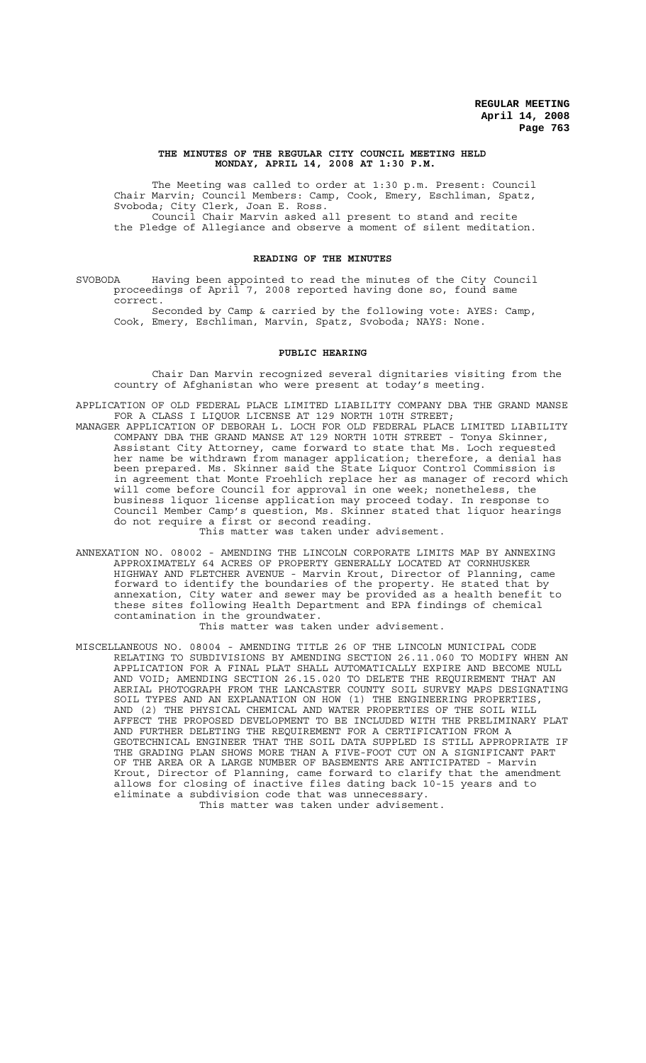#### **THE MINUTES OF THE REGULAR CITY COUNCIL MEETING HELD MONDAY, APRIL 14, 2008 AT 1:30 P.M.**

The Meeting was called to order at 1:30 p.m. Present: Council Chair Marvin; Council Members: Camp, Cook, Emery, Eschliman, Spatz, Svoboda; City Clerk, Joan E. Ross. Council Chair Marvin asked all present to stand and recite the Pledge of Allegiance and observe a moment of silent meditation.

### **READING OF THE MINUTES**

SVOBODA Having been appointed to read the minutes of the City Council proceedings of April 7, 2008 reported having done so, found same correct.

Seconded by Camp & carried by the following vote: AYES: Camp, Cook, Emery, Eschliman, Marvin, Spatz, Svoboda; NAYS: None.

### **PUBLIC HEARING**

Chair Dan Marvin recognized several dignitaries visiting from the country of Afghanistan who were present at today's meeting.

APPLICATION OF OLD FEDERAL PLACE LIMITED LIABILITY COMPANY DBA THE GRAND MANSE FOR A CLASS I LIQUOR LICENSE AT 129 NORTH 10TH STREET; MANAGER APPLICATION OF DEBORAH L. LOCH FOR OLD FEDERAL PLACE LIMITED LIABILITY COMPANY DBA THE GRAND MANSE AT 129 NORTH 10TH STREET - Tonya Skinner, Assistant City Attorney, came forward to state that Ms. Loch requested her name be withdrawn from manager application; therefore, a denial has been prepared. Ms. Skinner said the State Liquor Control Commission is in agreement that Monte Froehlich replace her as manager of record which will come before Council for approval in one week; nonetheless, the business liquor license application may proceed today. In response to Council Member Camp's question, Ms. Skinner stated that liquor hearings do not require a first or second reading.

This matter was taken under advisement.

ANNEXATION NO. 08002 - AMENDING THE LINCOLN CORPORATE LIMITS MAP BY ANNEXING APPROXIMATELY 64 ACRES OF PROPERTY GENERALLY LOCATED AT CORNHUSKER HIGHWAY AND FLETCHER AVENUE - Marvin Krout, Director of Planning, came forward to identify the boundaries of the property. He stated that by annexation, City water and sewer may be provided as a health benefit these sites following Health Department and EPA findings of chemical contamination in the groundwater.

This matter was taken under advisement.

MISCELLANEOUS NO. 08004 - AMENDING TITLE 26 OF THE LINCOLN MUNICIPAL CODE RELATING TO SUBDIVISIONS BY AMENDING SECTION 26.11.060 TO MODIFY WHEN AN APPLICATION FOR A FINAL PLAT SHALL AUTOMATICALLY EXPIRE AND BECOME NULL AND VOID; AMENDING SECTION 26.15.020 TO DELETE THE REQUIREMENT THAT AN AERIAL PHOTOGRAPH FROM THE LANCASTER COUNTY SOIL SURVEY MAPS DESIGNATING SOIL TYPES AND AN EXPLANATION ON HOW (1) THE ENGINEERING PROPERTIES, AND (2) THE PHYSICAL CHEMICAL AND WATER PROPERTIES OF THE SOIL WILL AFFECT THE PROPOSED DEVELOPMENT TO BE INCLUDED WITH THE PRELIMINARY PLAT AND FURTHER DELETING THE REQUIREMENT FOR A CERTIFICATION FROM A GEOTECHNICAL ENGINEER THAT THE SOIL DATA SUPPLED IS STILL APPROPRIATE IF THE GRADING PLAN SHOWS MORE THAN A FIVE-FOOT CUT ON A SIGNIFICANT PART OF THE AREA OR A LARGE NUMBER OF BASEMENTS ARE ANTICIPATED - Marvin Krout, Director of Planning, came forward to clarify that the amendment allows for closing of inactive files dating back 10-15 years and to eliminate a subdivision code that was unnecessary. This matter was taken under advisement.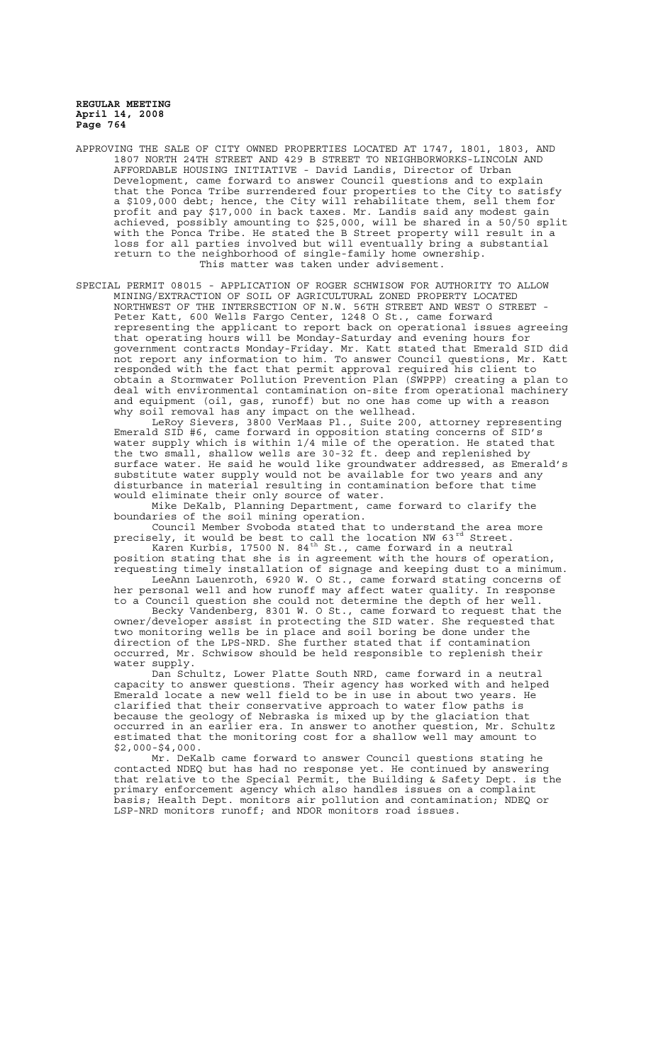APPROVING THE SALE OF CITY OWNED PROPERTIES LOCATED AT 1747, 1801, 1803, AND 1807 NORTH 24TH STREET AND 429 B STREET TO NEIGHBORWORKS-LINCOLN AND AFFORDABLE HOUSING INITIATIVE - David Landis, Director of Urban Development, came forward to answer Council questions and to explain that the Ponca Tribe surrendered four properties to the City to satisfy a \$109,000 debt; hence, the City will rehabilitate them, sell them for profit and pay \$17,000 in back taxes. Mr. Landis said any modest gain achieved, possibly amounting to \$25,000, will be shared in a 50/50 split with the Ponca Tribe. He stated the B Street property will result in a loss for all parties involved but will eventually bring a substantial return to the neighborhood of single-family home ownership. This matter was taken under advisement.

SPECIAL PERMIT 08015 - APPLICATION OF ROGER SCHWISOW FOR AUTHORITY TO ALLOW MINING/EXTRACTION OF SOIL OF AGRICULTURAL ZONED PROPERTY LOCATED NORTHWEST OF THE INTERSECTION OF N.W. 56TH STREET AND WEST O STREET - Peter Katt, 600 Wells Fargo Center, 1248 O St., came forward representing the applicant to report back on operational issues agreeing that operating hours will be Monday-Saturday and evening hours for government contracts Monday-Friday. Mr. Katt stated that Emerald SID did not report any information to him. To answer Council questions, Mr. Katt responded with the fact that permit approval required his client to obtain a Stormwater Pollution Prevention Plan (SWPPP) creating a plan to deal with environmental contamination on-site from operational machinery and equipment (oil, gas, runoff) but no one has come up with a reason why soil removal has any impact on the wellhead.

LeRoy Sievers, 3800 VerMaas Pl., Suite 200, attorney representing Emerald SID #6, came forward in opposition stating concerns of SID's water supply which is within 1/4 mile of the operation. He stated that the two small, shallow wells are 30-32 ft. deep and replenished by surface water. He said he would like groundwater addressed, as Emerald's substitute water supply would not be available for two years and any disturbance in material resulting in contamination before that time would eliminate their only source of water.

Mike DeKalb, Planning Department, came forward to clarify the boundaries of the soil mining operation.

Council Member Svoboda stated that to understand the area more precisely, it would be best to call the location NW 63 $^{\rm rd}$  Street. Karen Kurbis, 17500 N. 84<sup>th</sup> St., came forward in a neutral

position stating that she is in agreement with the hours of operation, requesting timely installation of signage and keeping dust to a minimum. LeeAnn Lauenroth, 6920 W. O St., came forward stating concerns of her personal well and how runoff may affect water quality. In response

to a Council question she could not determine the depth of her well. Becky Vandenberg, 8301 W. O St., came forward to request that the owner/developer assist in protecting the SID water. She requested that two monitoring wells be in place and soil boring be done under the direction of the LPS-NRD. She further stated that if contamination occurred, Mr. Schwisow should be held responsible to replenish their water supply.

Dan Schultz, Lower Platte South NRD, came forward in a neutral capacity to answer questions. Their agency has worked with and helped Emerald locate a new well field to be in use in about two years. He clarified that their conservative approach to water flow paths is because the geology of Nebraska is mixed up by the glaciation that occurred in an earlier era. In answer to another question, Mr. Schultz estimated that the monitoring cost for a shallow well may amount to \$2,000-\$4,000.

Mr. DeKalb came forward to answer Council questions stating he contacted NDEQ but has had no response yet. He continued by answering that relative to the Special Permit, the Building & Safety Dept. is the primary enforcement agency which also handles issues on a complaint basis; Health Dept. monitors air pollution and contamination; NDEQ or LSP-NRD monitors runoff; and NDOR monitors road issues.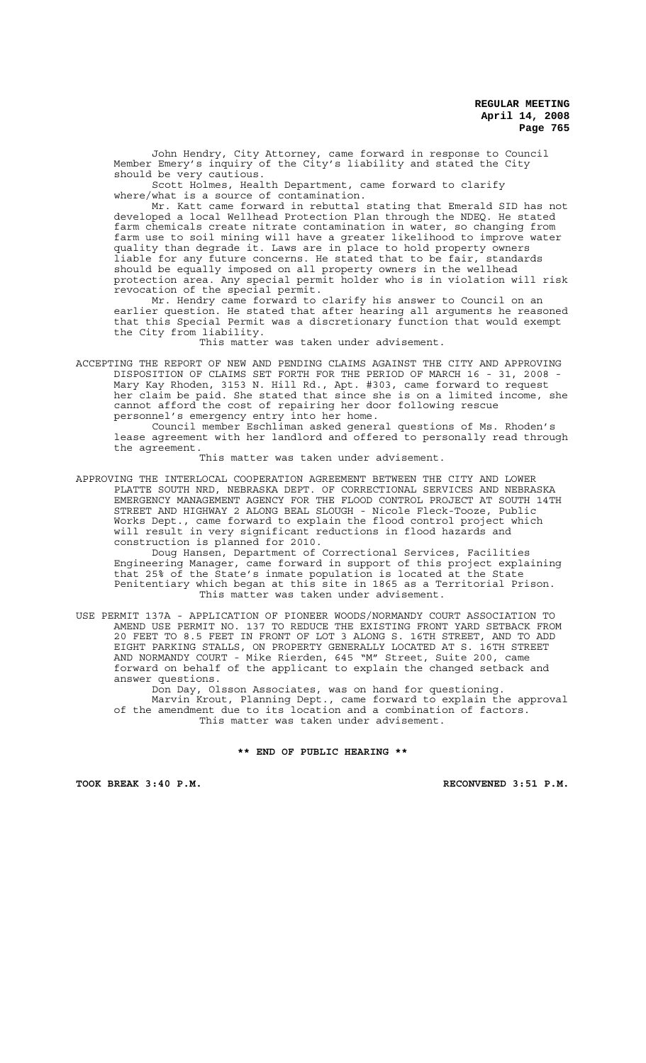John Hendry, City Attorney, came forward in response to Council Member Emery's inquiry of the City's liability and stated the City should be very cautious.

Scott Holmes, Health Department, came forward to clarify where/what is a source of contamination.

Mr. Katt came forward in rebuttal stating that Emerald SID has not developed a local Wellhead Protection Plan through the NDEQ. He stated farm chemicals create nitrate contamination in water, so changing from farm use to soil mining will have a greater likelihood to improve water quality than degrade it. Laws are in place to hold property owners liable for any future concerns. He stated that to be fair, standards should be equally imposed on all property owners in the wellhead protection area. Any special permit holder who is in violation will risk revocation of the special permit.

Mr. Hendry came forward to clarify his answer to Council on an earlier question. He stated that after hearing all arguments he reasoned that this Special Permit was a discretionary function that would exempt the City from liability.

This matter was taken under advisement.

ACCEPTING THE REPORT OF NEW AND PENDING CLAIMS AGAINST THE CITY AND APPROVING DISPOSITION OF CLAIMS SET FORTH FOR THE PERIOD OF MARCH 16 - 31, 2008 - Mary Kay Rhoden, 3153 N. Hill Rd., Apt. #303, came forward to request her claim be paid. She stated that since she is on a limited income, she cannot afford the cost of repairing her door following rescue personnel's emergency entry into her home.

Council member Eschliman asked general questions of Ms. Rhoden's lease agreement with her landlord and offered to personally read through the agreement.

This matter was taken under advisement.

APPROVING THE INTERLOCAL COOPERATION AGREEMENT BETWEEN THE CITY AND LOWER PLATTE SOUTH NRD, NEBRASKA DEPT. OF CORRECTIONAL SERVICES AND NEBRASKA EMERGENCY MANAGEMENT AGENCY FOR THE FLOOD CONTROL PROJECT AT SOUTH 14TH STREET AND HIGHWAY 2 ALONG BEAL SLOUGH - Nicole Fleck-Tooze, Public Works Dept., came forward to explain the flood control project which will result in very significant reductions in flood hazards and construction is planned for 2010.

Doug Hansen, Department of Correctional Services, Facilities Engineering Manager, came forward in support of this project explaining that 25% of the State's inmate population is located at the State Penitentiary which began at this site in 1865 as a Territorial Prison. This matter was taken under advisement.

USE PERMIT 137A - APPLICATION OF PIONEER WOODS/NORMANDY COURT ASSOCIATION TO AMEND USE PERMIT NO. 137 TO REDUCE THE EXISTING FRONT YARD SETBACK FROM 20 FEET TO 8.5 FEET IN FRONT OF LOT 3 ALONG S. 16TH STREET, AND TO ADD EIGHT PARKING STALLS, ON PROPERTY GENERALLY LOCATED AT S. 16TH STREET AND NORMANDY COURT - Mike Rierden, 645 "M" Street, Suite 200, came forward on behalf of the applicant to explain the changed setback and answer questions.

Don Day, Olsson Associates, was on hand for questioning. Marvin Krout, Planning Dept., came forward to explain the approval of the amendment due to its location and a combination of factors. This matter was taken under advisement.

**\*\* END OF PUBLIC HEARING \*\***

**TOOK BREAK 3:40 P.M. RECONVENED 3:51 P.M.**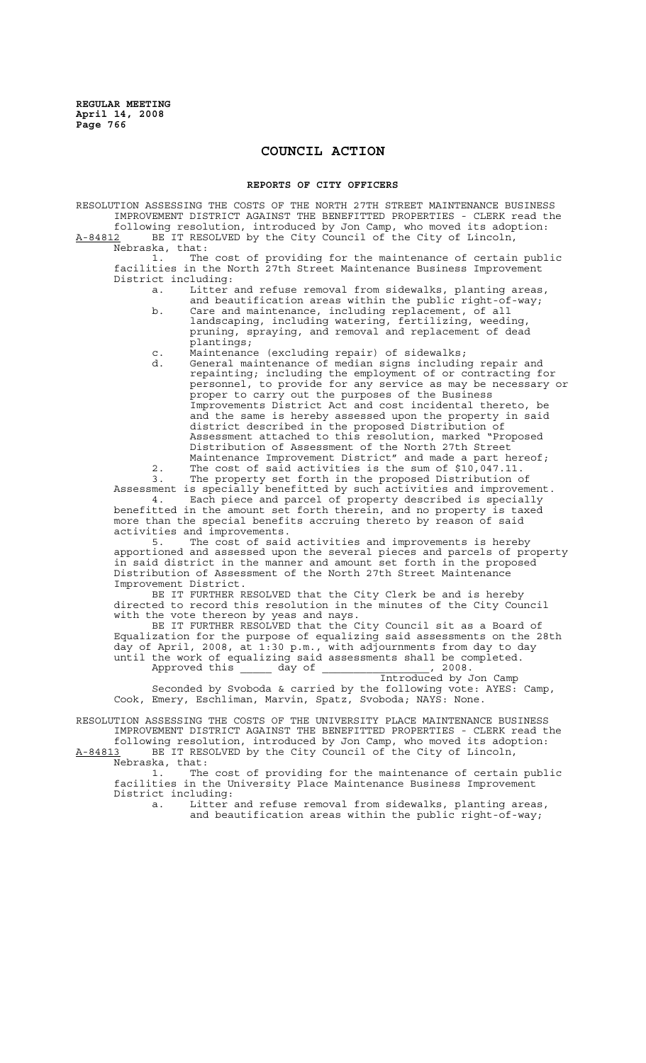# **COUNCIL ACTION**

### **REPORTS OF CITY OFFICERS**

RESOLUTION ASSESSING THE COSTS OF THE NORTH 27TH STREET MAINTENANCE BUSINESS IMPROVEMENT DISTRICT AGAINST THE BENEFITTED PROPERTIES - CLERK read the following resolution, introduced by Jon Camp, who moved its adoption: A-84812 BE IT RESOLVED by the City Council of the City of Lincoln, Nebraska, that:

1. The cost of providing for the maintenance of certain public facilities in the North 27th Street Maintenance Business Improvement District including:

a. Litter and refuse removal from sidewalks, planting areas, and beautification areas within the public right-of-way;

b. Care and maintenance, including replacement, of all landscaping, including watering, fertilizing, weeding, pruning, spraying, and removal and replacement of dead plantings;

- c. Maintenance (excluding repair) of sidewalks;
- d. General maintenance of median signs including repair and repainting; including the employment of or contracting for personnel, to provide for any service as may be necessary or proper to carry out the purposes of the Business Improvements District Act and cost incidental thereto, be and the same is hereby assessed upon the property in said district described in the proposed Distribution of Assessment attached to this resolution, marked "Proposed Distribution of Assessment of the North 27th Street Maintenance Improvement District" and made a part hereof; 2. The cost of said activities is the sum of \$10,047.11.

3. The property set forth in the proposed Distribution of Assessment is specially benefitted by such activities and improvement. 4. Each piece and parcel of property described is specially

benefitted in the amount set forth therein, and no property is taxed more than the special benefits accruing thereto by reason of said activities and improvements.<br>5. The cost of said

The cost of said activities and improvements is hereby apportioned and assessed upon the several pieces and parcels of property in said district in the manner and amount set forth in the proposed Distribution of Assessment of the North 27th Street Maintenance Improvement District.

BE IT FURTHER RESOLVED that the City Clerk be and is hereby directed to record this resolution in the minutes of the City Council with the vote thereon by yeas and nays.

BE IT FURTHER RESOLVED that the City Council sit as a Board of Equalization for the purpose of equalizing said assessments on the 28th day of April, 2008, at 1:30 p.m., with adjournments from day to day until the work of equalizing said assessments shall be completed. Approved this \_\_\_\_\_ day of \_\_\_\_\_\_\_\_\_\_\_\_, 2008.

Introduced by Jon Camp

 Seconded by Svoboda & carried by the following vote: AYES: Camp, Cook, Emery, Eschliman, Marvin, Spatz, Svoboda; NAYS: None.

RESOLUTION ASSESSING THE COSTS OF THE UNIVERSITY PLACE MAINTENANCE BUSINESS IMPROVEMENT DISTRICT AGAINST THE BENEFITTED PROPERTIES - CLERK read the following resolution, introduced by Jon Camp, who moved its adoption:

A-84813 BE IT RESOLVED by the City Council of the City of Lincoln, Nebraska, that:

1. The cost of providing for the maintenance of certain public facilities in the University Place Maintenance Business Improvement District including:

a. Litter and refuse removal from sidewalks, planting areas, and beautification areas within the public right-of-way;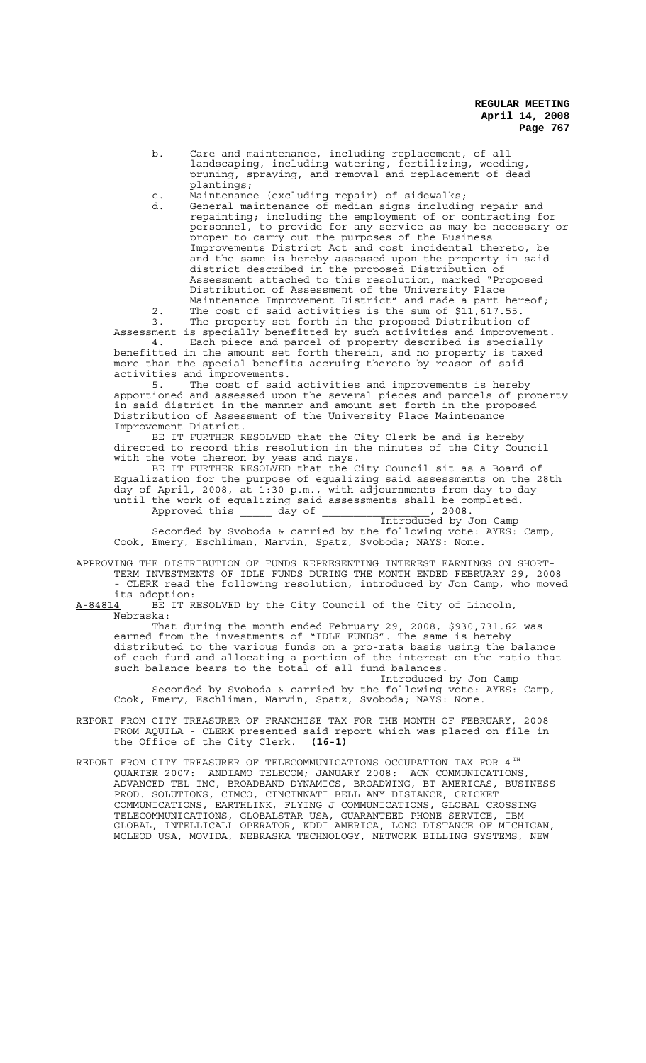- b. Care and maintenance, including replacement, of all landscaping, including watering, fertilizing, weeding, pruning, spraying, and removal and replacement of dead plantings;<br>Maintenance
- c. Maintenance (excluding repair) of sidewalks;
- d. General maintenance of median signs including repair and repainting; including the employment of or contracting for personnel, to provide for any service as may be necessary or proper to carry out the purposes of the Business Improvements District Act and cost incidental thereto, be and the same is hereby assessed upon the property in said district described in the proposed Distribution of Assessment attached to this resolution, marked "Proposed Distribution of Assessment of the University Place Maintenance Improvement District" and made a part hereof; 2. The cost of said activities is the sum of \$11,617.55.

3. The property set forth in the proposed Distribution of Assessment is specially benefitted by such activities and improvement. 4. Each piece and parcel of property described is specially benefitted in the amount set forth therein, and no property is taxed

more than the special benefits accruing thereto by reason of said activities and improvements.<br>5. The cost of said

The cost of said activities and improvements is hereby apportioned and assessed upon the several pieces and parcels of property in said district in the manner and amount set forth in the proposed Distribution of Assessment of the University Place Maintenance Improvement District.

BE IT FURTHER RESOLVED that the City Clerk be and is hereby directed to record this resolution in the minutes of the City Council with the vote thereon by yeas and nays.

BE IT FURTHER RESOLVED that the City Council sit as a Board of Equalization for the purpose of equalizing said assessments on the 28th day of April, 2008, at 1:30 p.m., with adjournments from day to day until the work of equalizing said assessments shall be completed. Approved this day of the case of the case of the case of the case of the case of the case of the case of the c

Introduced by Jon Camp

Seconded by Svoboda & carried by the following vote: AYES: Camp, Cook, Emery, Eschliman, Marvin, Spatz, Svoboda; NAYS: None.

APPROVING THE DISTRIBUTION OF FUNDS REPRESENTING INTEREST EARNINGS ON SHORT-TERM INVESTMENTS OF IDLE FUNDS DURING THE MONTH ENDED FEBRUARY 29, 2008 - CLERK read the following resolution, introduced by Jon Camp, who moved its adoption:

A-84814 BE IT RESOLVED by the City Council of the City of Lincoln, Nebraska:

That during the month ended February 29, 2008, \$930,731.62 was earned from the investments of "IDLE FUNDS". The same is hereby distributed to the various funds on a pro-rata basis using the balance of each fund and allocating a portion of the interest on the ratio that such balance bears to the total of all fund balances.

Introduced by Jon Camp Seconded by Svoboda & carried by the following vote: AYES: Camp, Cook, Emery, Eschliman, Marvin, Spatz, Svoboda; NAYS: None.

REPORT FROM CITY TREASURER OF FRANCHISE TAX FOR THE MONTH OF FEBRUARY, 2008 FROM AQUILA - CLERK presented said report which was placed on file in the Office of the City Clerk. **(16-1)**

REPORT FROM CITY TREASURER OF TELECOMMUNICATIONS OCCUPATION TAX FOR 4 TH QUARTER 2007: ANDIAMO TELECOM; JANUARY 2008: ACN COMMUNICATIONS, ADVANCED TEL INC, BROADBAND DYNAMICS, BROADWING, BT AMERICAS, BUSINESS PROD. SOLUTIONS, CIMCO, CINCINNATI BELL ANY DISTANCE, CRICKET COMMUNICATIONS, EARTHLINK, FLYING J COMMUNICATIONS, GLOBAL CROSSING TELECOMMUNICATIONS, GLOBALSTAR USA, GUARANTEED PHONE SERVICE, IBM GLOBAL, INTELLICALL OPERATOR, KDDI AMERICA, LONG DISTANCE OF MICHIGAN, MCLEOD USA, MOVIDA, NEBRASKA TECHNOLOGY, NETWORK BILLING SYSTEMS, NEW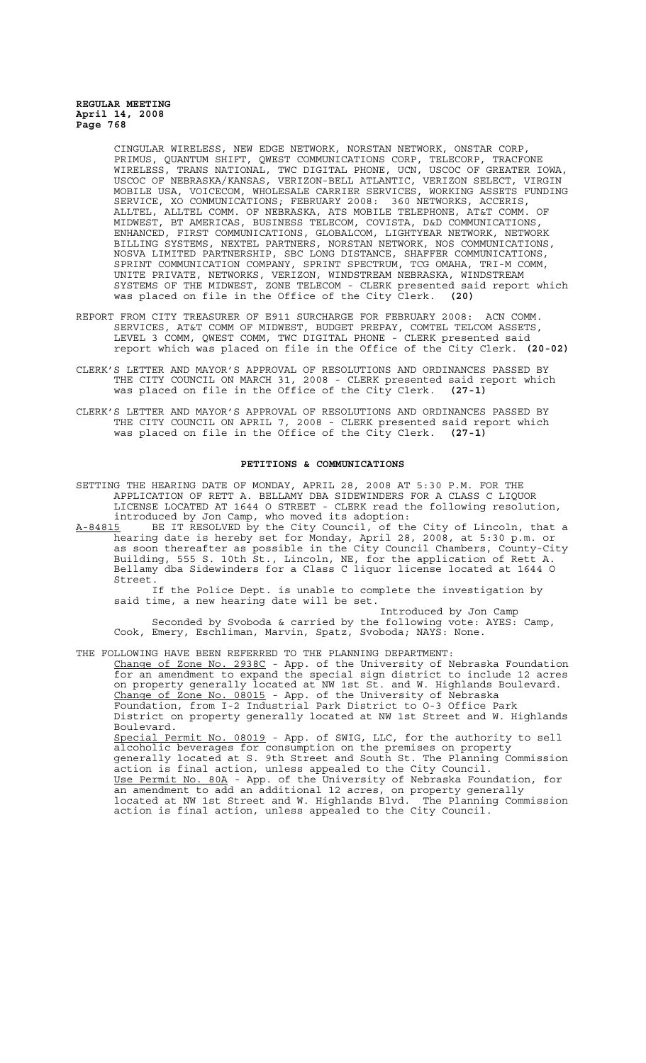CINGULAR WIRELESS, NEW EDGE NETWORK, NORSTAN NETWORK, ONSTAR CORP, PRIMUS, QUANTUM SHIFT, QWEST COMMUNICATIONS CORP, TELECORP, TRACFONE WIRELESS, TRANS NATIONAL, TWC DIGITAL PHONE, UCN, USCOC OF GREATER IOWA, USCOC OF NEBRASKA/KANSAS, VERIZON-BELL ATLANTIC, VERIZON SELECT, VIRGIN MOBILE USA, VOICECOM, WHOLESALE CARRIER SERVICES, WORKING ASSETS FUNDING SERVICE, XO COMMUNICATIONS; FEBRUARY 2008: 360 NETWORKS, ACCERIS, ALLTEL, ALLTEL COMM. OF NEBRASKA, ATS MOBILE TELEPHONE, AT&T COMM. OF MIDWEST, BT AMERICAS, BUSINESS TELECOM, COVISTA, D&D COMMUNICATIONS, ENHANCED, FIRST COMMUNICATIONS, GLOBALCOM, LIGHTYEAR NETWORK, NETWORK BILLING SYSTEMS, NEXTEL PARTNERS, NORSTAN NETWORK, NOS COMMUNICATIONS, NOSVA LIMITED PARTNERSHIP, SBC LONG DISTANCE, SHAFFER COMMUNICATIONS, SPRINT COMMUNICATION COMPANY, SPRINT SPECTRUM, TCG OMAHA, TRI-M COMM, UNITE PRIVATE, NETWORKS, VERIZON, WINDSTREAM NEBRASKA, WINDSTREAM SYSTEMS OF THE MIDWEST, ZONE TELECOM - CLERK presented said report which was placed on file in the Office of the City Clerk. **(20)**

- REPORT FROM CITY TREASURER OF E911 SURCHARGE FOR FEBRUARY 2008: ACN COMM. SERVICES, AT&T COMM OF MIDWEST, BUDGET PREPAY, COMTEL TELCOM ASSETS, LEVEL 3 COMM, QWEST COMM, TWC DIGITAL PHONE - CLERK presented said report which was placed on file in the Office of the City Clerk. **(20-02)**
- CLERK'S LETTER AND MAYOR'S APPROVAL OF RESOLUTIONS AND ORDINANCES PASSED BY THE CITY COUNCIL ON MARCH 31, 2008 - CLERK presented said report which was placed on file in the Office of the City Clerk. **(27-1)**
- CLERK'S LETTER AND MAYOR'S APPROVAL OF RESOLUTIONS AND ORDINANCES PASSED BY THE CITY COUNCIL ON APRIL 7, 2008 - CLERK presented said report which was placed on file in the Office of the City Clerk. **(27-1)**

### **PETITIONS & COMMUNICATIONS**

SETTING THE HEARING DATE OF MONDAY, APRIL 28, 2008 AT 5:30 P.M. FOR THE APPLICATION OF RETT A. BELLAMY DBA SIDEWINDERS FOR A CLASS C LIQUOR LICENSE LOCATED AT 1644 O STREET - CLERK read the following resolution, introduced by Jon Camp, who moved its adoption:

A-84815 BE IT RESOLVED by the City Council, of the City of Lincoln, that a hearing date is hereby set for Monday, April 28, 2008, at 5:30 p.m. or as soon thereafter as possible in the City Council Chambers, County-City Building, 555 S. 10th St., Lincoln, NE, for the application of Rett A. Bellamy dba Sidewinders for a Class C liquor license located at 1644 O Street.

If the Police Dept. is unable to complete the investigation by said time, a new hearing date will be set.

Introduced by Jon Camp Seconded by Svoboda & carried by the following vote: AYES: Camp, Cook, Emery, Eschliman, Marvin, Spatz, Svoboda; NAYS: None.

THE FOLLOWING HAVE BEEN REFERRED TO THE PLANNING DEPARTMENT: Change of Zone No. 2938C - App. of the University of Nebraska Foundation for an amendment to expand the special sign district to include 12 acres on property generally located at NW 1st St. and W. Highlands Boulevard. Change of Zone No. 08015 - App. of the University of Nebraska Foundation, from I-2 Industrial Park District to O-3 Office Park District on property generally located at NW 1st Street and W. Highlands Boulevard. Special Permit No. 08019 - App. of SWIG, LLC, for the authority to sell alcoholic beverages for consumption on the premises on property generally located at S. 9th Street and South St. The Planning Commission action is final action, unless appealed to the City Council. Use Permit No. 80A - App. of the University of Nebraska Foundation, for an amendment to add an additional 12 acres, on property generally located at NW 1st Street and W. Highlands Blvd. The Planning Commission action is final action, unless appealed to the City Council.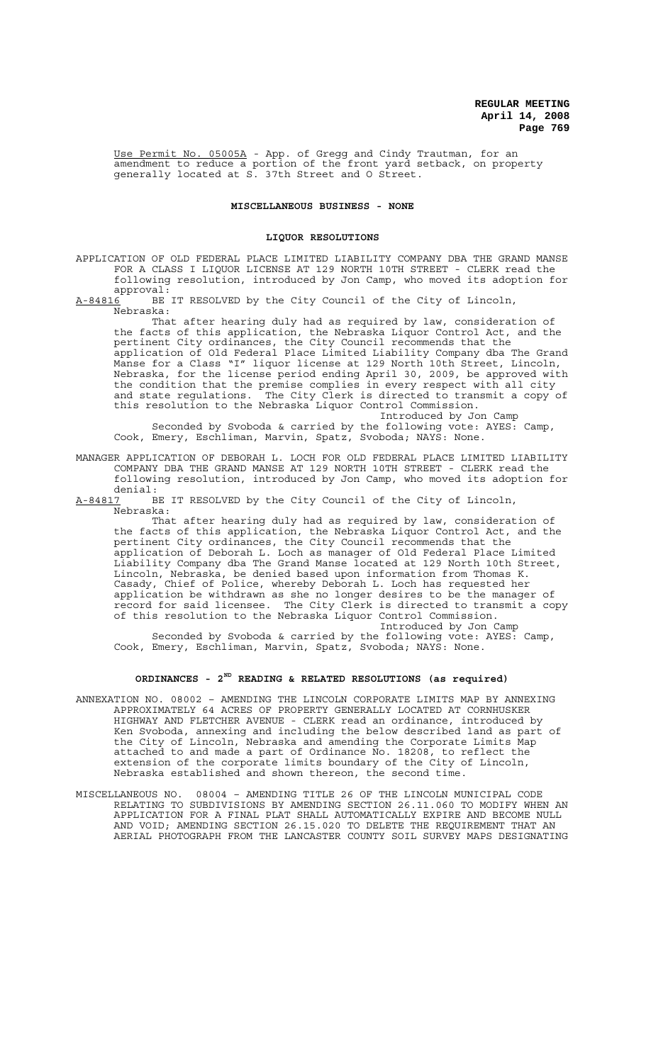Use Permit No. 05005A - App. of Gregg and Cindy Trautman, for an amendment to reduce a portion of the front yard setback, on property generally located at S. 37th Street and O Street.

## **MISCELLANEOUS BUSINESS - NONE**

### **LIQUOR RESOLUTIONS**

APPLICATION OF OLD FEDERAL PLACE LIMITED LIABILITY COMPANY DBA THE GRAND MANSE FOR A CLASS I LIQUOR LICENSE AT 129 NORTH 10TH STREET - CLERK read the following resolution, introduced by Jon Camp, who moved its adoption for approval:

A-84816<sup>-</sup> BE IT RESOLVED by the City Council of the City of Lincoln, Nebraska:

That after hearing duly had as required by law, consideration of the facts of this application, the Nebraska Liquor Control Act, and the pertinent City ordinances, the City Council recommends that the application of Old Federal Place Limited Liability Company dba The Grand Manse for a Class "I" liquor license at 129 North 10th Street, Lincoln, Nebraska, for the license period ending April 30, 2009, be approved with the condition that the premise complies in every respect with all city and state regulations. The City Clerk is directed to transmit a copy of this resolution to the Nebraska Liquor Control Commission. Introduced by Jon Camp

Seconded by Svoboda & carried by the following vote: AYES: Camp, Cook, Emery, Eschliman, Marvin, Spatz, Svoboda; NAYS: None.

MANAGER APPLICATION OF DEBORAH L. LOCH FOR OLD FEDERAL PLACE LIMITED LIABILITY COMPANY DBA THE GRAND MANSE AT 129 NORTH 10TH STREET - CLERK read the following resolution, introduced by Jon Camp, who moved its adoption for

denial:<br>A-84817 B BE IT RESOLVED by the City Council of the City of Lincoln, Nebraska:

That after hearing duly had as required by law, consideration of the facts of this application, the Nebraska Liquor Control Act, and the pertinent City ordinances, the City Council recommends that the application of Deborah L. Loch as manager of Old Federal Place Limited Liability Company dba The Grand Manse located at 129 North 10th Street, Lincoln, Nebraska, be denied based upon information from Thomas K. Casady, Chief of Police, whereby Deborah L. Loch has requested her application be withdrawn as she no longer desires to be the manager of record for said licensee. The City Clerk is directed to transmit a copy of this resolution to the Nebraska Liquor Control Commission.

Introduced by Jon Camp Seconded by Svoboda & carried by the following vote: AYES: Camp, Cook, Emery, Eschliman, Marvin, Spatz, Svoboda; NAYS: None.

## **ORDINANCES - 2ND READING & RELATED RESOLUTIONS (as required)**

- ANNEXATION NO. 08002 AMENDING THE LINCOLN CORPORATE LIMITS MAP BY ANNEXING APPROXIMATELY 64 ACRES OF PROPERTY GENERALLY LOCATED AT CORNHUSKER HIGHWAY AND FLETCHER AVENUE - CLERK read an ordinance, introduced by Ken Svoboda, annexing and including the below described land as part of the City of Lincoln, Nebraska and amending the Corporate Limits Map attached to and made a part of Ordinance No. 18208, to reflect the extension of the corporate limits boundary of the City of Lincoln, Nebraska established and shown thereon, the second time.
- MISCELLANEOUS NO. 08004 AMENDING TITLE 26 OF THE LINCOLN MUNICIPAL CODE RELATING TO SUBDIVISIONS BY AMENDING SECTION 26.11.060 TO MODIFY WHEN AN APPLICATION FOR A FINAL PLAT SHALL AUTOMATICALLY EXPIRE AND BECOME NULL AND VOID; AMENDING SECTION 26.15.020 TO DELETE THE REQUIREMENT THAT AN AERIAL PHOTOGRAPH FROM THE LANCASTER COUNTY SOIL SURVEY MAPS DESIGNATING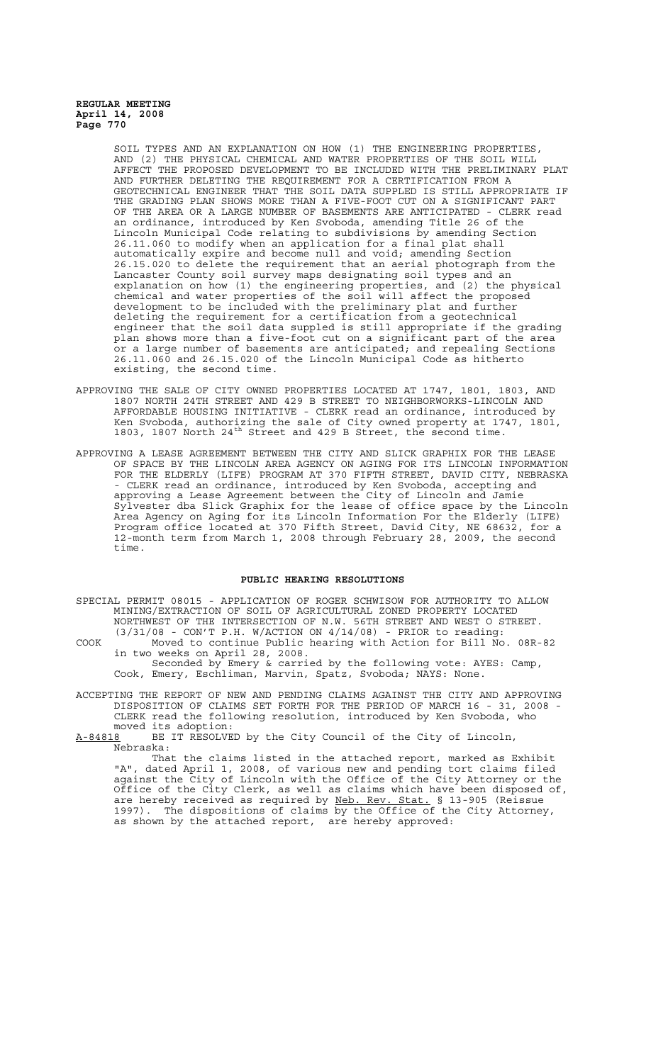> SOIL TYPES AND AN EXPLANATION ON HOW (1) THE ENGINEERING PROPERTIES, AND (2) THE PHYSICAL CHEMICAL AND WATER PROPERTIES OF THE SOIL WILL THE PROPOSED DEVELOPMENT TO BE INCLUDED WITH THE PRELIMINARY PLAT AND FURTHER DELETING THE REQUIREMENT FOR A CERTIFICATION FROM A GEOTECHNICAL ENGINEER THAT THE SOIL DATA SUPPLED IS STILL APPROPRIATE IF THE GRADING PLAN SHOWS MORE THAN A FIVE-FOOT CUT ON A SIGNIFICANT PART OF THE AREA OR A LARGE NUMBER OF BASEMENTS ARE ANTICIPATED - CLERK read an ordinance, introduced by Ken Svoboda, amending Title 26 of the Lincoln Municipal Code relating to subdivisions by amending Section 26.11.060 to modify when an application for a final plat shall automatically expire and become null and void; amending Section 26.15.020 to delete the requirement that an aerial photograph from the Lancaster County soil survey maps designating soil types and an explanation on how (1) the engineering properties, and (2) the physical chemical and water properties of the soil will affect the proposed development to be included with the preliminary plat and further deleting the requirement for a certification from a geotechnical engineer that the soil data suppled is still appropriate if the grading plan shows more than a five-foot cut on a significant part of the area or a large number of basements are anticipated; and repealing Sections 26.11.060 and 26.15.020 of the Lincoln Municipal Code as hitherto existing, the second time.

- APPROVING THE SALE OF CITY OWNED PROPERTIES LOCATED AT 1747, 1801, 1803, AND 1807 NORTH 24TH STREET AND 429 B STREET TO NEIGHBORWORKS-LINCOLN AND AFFORDABLE HOUSING INITIATIVE - CLERK read an ordinance, introduced by Ken Svoboda, authorizing the sale of City owned property at 1747, 1801, 1803, 1807 North 24<sup>th</sup> Street and 429 B Street, the second time.
- APPROVING A LEASE AGREEMENT BETWEEN THE CITY AND SLICK GRAPHIX FOR THE LEASE OF SPACE BY THE LINCOLN AREA AGENCY ON AGING FOR ITS LINCOLN INFORMATION FOR THE ELDERLY (LIFE) PROGRAM AT 370 FIFTH STREET, DAVID CITY, NEBRASKA - CLERK read an ordinance, introduced by Ken Svoboda, accepting and approving a Lease Agreement between the City of Lincoln and Jamie Sylvester dba Slick Graphix for the lease of office space by the Lincoln Area Agency on Aging for its Lincoln Information For the Elderly (LIFE) Program office located at 370 Fifth Street, David City, NE 68632, for a 12-month term from March 1, 2008 through February 28, 2009, the second time.

### **PUBLIC HEARING RESOLUTIONS**

- SPECIAL PERMIT 08015 APPLICATION OF ROGER SCHWISOW FOR AUTHORITY TO ALLOW MINING/EXTRACTION OF SOIL OF AGRICULTURAL ZONED PROPERTY LOCATED NORTHWEST OF THE INTERSECTION OF N.W. 56TH STREET AND WEST O STREET.  $(3/31/08$  - CON'T P.H. W/ACTION ON  $4/14/08$ ) - PRIOR to reading:
- COOK Moved to continue Public hearing with Action for Bill No. 08R-82 in two weeks on April 28, 2008.

Seconded by Emery & carried by the following vote: AYES: Camp, Cook, Emery, Eschliman, Marvin, Spatz, Svoboda; NAYS: None.

ACCEPTING THE REPORT OF NEW AND PENDING CLAIMS AGAINST THE CITY AND APPROVING DISPOSITION OF CLAIMS SET FORTH FOR THE PERIOD OF MARCH 16 - 31, 2008 - CLERK read the following resolution, introduced by Ken Svoboda, who

moved its adoption:<br>A-84818 BE IT RESOLVE BE IT RESOLVED by the City Council of the City of Lincoln, Nebraska:

That the claims listed in the attached report, marked as Exhibit "A", dated April 1, 2008, of various new and pending tort claims filed against the City of Lincoln with the Office of the City Attorney or the Office of the City Clerk, as well as claims which have been disposed of, are hereby received as required by Neb. Rev. Stat. § 13-905 (Reissue 1997). The dispositions of claims by the Office of the City Attorney, as shown by the attached report, are hereby approved: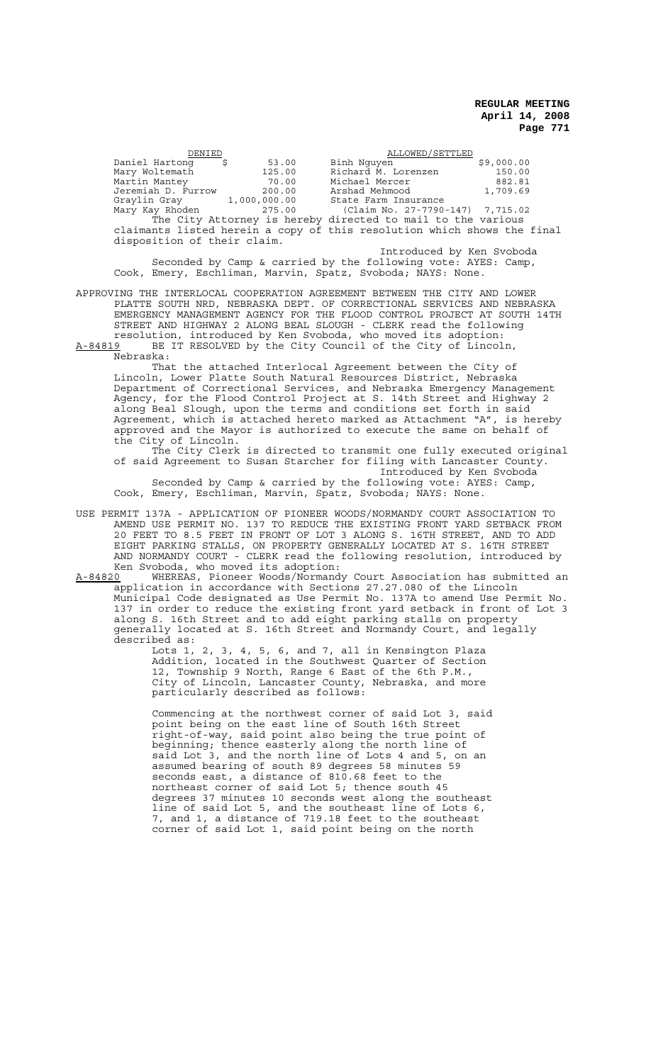DENIED<br>ng \$ 53.00 Binh Nguyen<br>Dinh Nguyen Daniel Hartong \$ 53.00 Binh Nguyen \$9,000.00<br>
Mary Woltemath 125.00 Richard M. Lorenzen 150.00<br>
Martin Mantey 70.00 Michael Mercer \$82.81 Mary Woltemath 125.00 Richard M. Lorenzen 150.00 Martin Mantey 70.00 Michael Mercer 882.81 Jeremiah D. Furrow 200.00 Arshad Mehmood 1,709.69<br>Graylin Gray 1,000,000.00 State Farm Insurance 1,709.69<br>Mary Kay Rhoden 275.00 (Claim No. 27-7790-147) 7,715.02 Graylin Gray 1,000,000.00 State Farm Insurance Mary Kay Rhoden 275.00 (Claim No. 27-7790-147) 7,715.02 The City Attorney is hereby directed to mail to the various claimants listed herein a copy of this resolution which shows the final disposition of their claim. Introduced by Ken Svoboda

Seconded by Camp & carried by the following vote: AYES: Camp, Cook, Emery, Eschliman, Marvin, Spatz, Svoboda; NAYS: None.

APPROVING THE INTERLOCAL COOPERATION AGREEMENT BETWEEN THE CITY AND LOWER PLATTE SOUTH NRD, NEBRASKA DEPT. OF CORRECTIONAL SERVICES AND NEBRASKA EMERGENCY MANAGEMENT AGENCY FOR THE FLOOD CONTROL PROJECT AT SOUTH 14TH STREET AND HIGHWAY 2 ALONG BEAL SLOUGH - CLERK read the following resolution, introduced by Ken Svoboda, who moved its adoption: A-84819 BE IT RESOLVED by the City Council of the City of Lincoln,

Nebraska:

That the attached Interlocal Agreement between the City of Lincoln, Lower Platte South Natural Resources District, Nebraska Department of Correctional Services, and Nebraska Emergency Management Agency, for the Flood Control Project at S. 14th Street and Highway 2 along Beal Slough, upon the terms and conditions set forth in said Agreement, which is attached hereto marked as Attachment "A", is hereby approved and the Mayor is authorized to execute the same on behalf of the City of Lincoln.

The City Clerk is directed to transmit one fully executed original of said Agreement to Susan Starcher for filing with Lancaster County. Introduced by Ken Svoboda

Seconded by Camp & carried by the following vote: AYES: Camp, Cook, Emery, Eschliman, Marvin, Spatz, Svoboda; NAYS: None.

USE PERMIT 137A - APPLICATION OF PIONEER WOODS/NORMANDY COURT ASSOCIATION TO AMEND USE PERMIT NO. 137 TO REDUCE THE EXISTING FRONT YARD SETBACK FROM 20 FEET TO 8.5 FEET IN FRONT OF LOT 3 ALONG S. 16TH STREET, AND TO ADD EIGHT PARKING STALLS, ON PROPERTY GENERALLY LOCATED AT S. 16TH STREET AND NORMANDY COURT - CLERK read the following resolution, introduced by Ken Svoboda, who moved its adoption:<br>A-84820 WHEREAS, Pioneer Woods/Normand

WHEREAS, Pioneer Woods/Normandy Court Association has submitted an application in accordance with Sections 27.27.080 of the Lincoln Municipal Code designated as Use Permit No. 137A to amend Use Permit No. 137 in order to reduce the existing front yard setback in front of Lot 3 along S. 16th Street and to add eight parking stalls on property generally located at S. 16th Street and Normandy Court, and legally described as:

Lots 1, 2, 3, 4, 5, 6, and 7, all in Kensington Plaza Addition, located in the Southwest Quarter of Section 12, Township 9 North, Range 6 East of the 6th P.M., City of Lincoln, Lancaster County, Nebraska, and more particularly described as follows:

Commencing at the northwest corner of said Lot 3, said point being on the east line of South 16th Street right-of-way, said point also being the true point of beginning; thence easterly along the north line of said Lot 3, and the north line of Lots 4 and 5, on an assumed bearing of south 89 degrees 58 minutes 59 seconds east, a distance of 810.68 feet to the northeast corner of said Lot 5; thence south 45 degrees 37 minutes 10 seconds west along the southeast line of said Lot 5, and the southeast line of Lots 6, 7, and 1, a distance of 719.18 feet to the southeast corner of said Lot 1, said point being on the north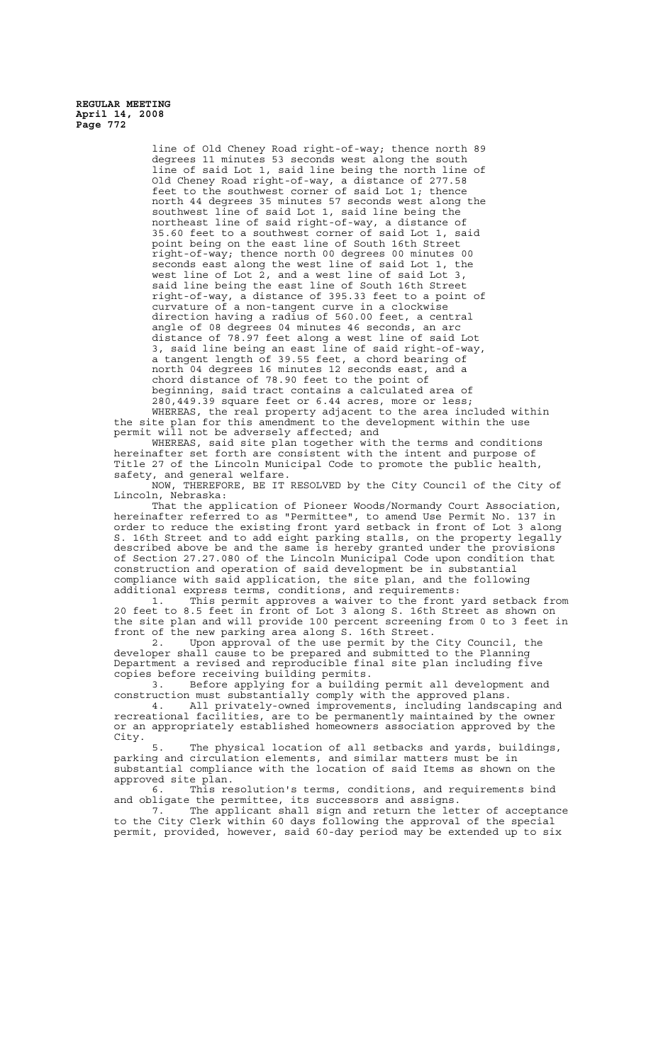> line of Old Cheney Road right-of-way; thence north 89 degrees 11 minutes 53 seconds west along the south line of said Lot 1, said line being the north line of Old Cheney Road right-of-way, a distance of 277.58 feet to the southwest corner of said Lot 1; thence north 44 degrees 35 minutes 57 seconds west along the southwest line of said Lot 1, said line being the northeast line of said right-of-way, a distance of 35.60 feet to a southwest corner of said Lot 1, said point being on the east line of South 16th Street right-of-way; thence north 00 degrees 00 minutes 00 seconds east along the west line of said Lot 1, the west line of Lot 2, and a west line of said Lot 3, said line being the east line of South 16th Street right-of-way, a distance of 395.33 feet to a point of curvature of a non-tangent curve in a clockwise direction having a radius of 560.00 feet, a central angle of 08 degrees 04 minutes 46 seconds, an arc distance of 78.97 feet along a west line of said Lot 3, said line being an east line of said right-of-way, a tangent length of 39.55 feet, a chord bearing of north 04 degrees 16 minutes 12 seconds east, and a chord distance of 78.90 feet to the point of beginning, said tract contains a calculated area of 280,449.39 square feet or 6.44 acres, more or less;

WHEREAS, the real property adjacent to the area included within the site plan for this amendment to the development within the use permit will not be adversely affected; and

WHEREAS, said site plan together with the terms and conditions hereinafter set forth are consistent with the intent and purpose of Title 27 of the Lincoln Municipal Code to promote the public health, safety, and general welfare.

NOW, THEREFORE, BE IT RESOLVED by the City Council of the City of Lincoln, Nebraska:

That the application of Pioneer Woods/Normandy Court Association, hereinafter referred to as "Permittee", to amend Use Permit No. 137 in order to reduce the existing front yard setback in front of Lot 3 along S. 16th Street and to add eight parking stalls, on the property legally described above be and the same is hereby granted under the provisions of Section 27.27.080 of the Lincoln Municipal Code upon condition that construction and operation of said development be in substantial compliance with said application, the site plan, and the following additional express terms, conditions, and requirements:

1. This permit approves a waiver to the front yard setback from 20 feet to 8.5 feet in front of Lot 3 along S. 16th Street as shown on the site plan and will provide 100 percent screening from 0 to 3 feet in front of the new parking area along S. 16th Street.

2. Upon approval of the use permit by the City Council, the developer shall cause to be prepared and submitted to the Planning Department a revised and reproducible final site plan including five copies before receiving building permits.

3. Before applying for a building permit all development and construction must substantially comply with the approved plans.

4. All privately-owned improvements, including landscaping and recreational facilities, are to be permanently maintained by the owner or an appropriately established homeowners association approved by the City.

5. The physical location of all setbacks and yards, buildings, parking and circulation elements, and similar matters must be in substantial compliance with the location of said Items as shown on the approved site plan.

6. This resolution's terms, conditions, and requirements bind and obligate the permittee, its successors and assigns.

7. The applicant shall sign and return the letter of acceptance to the City Clerk within 60 days following the approval of the special permit, provided, however, said 60-day period may be extended up to six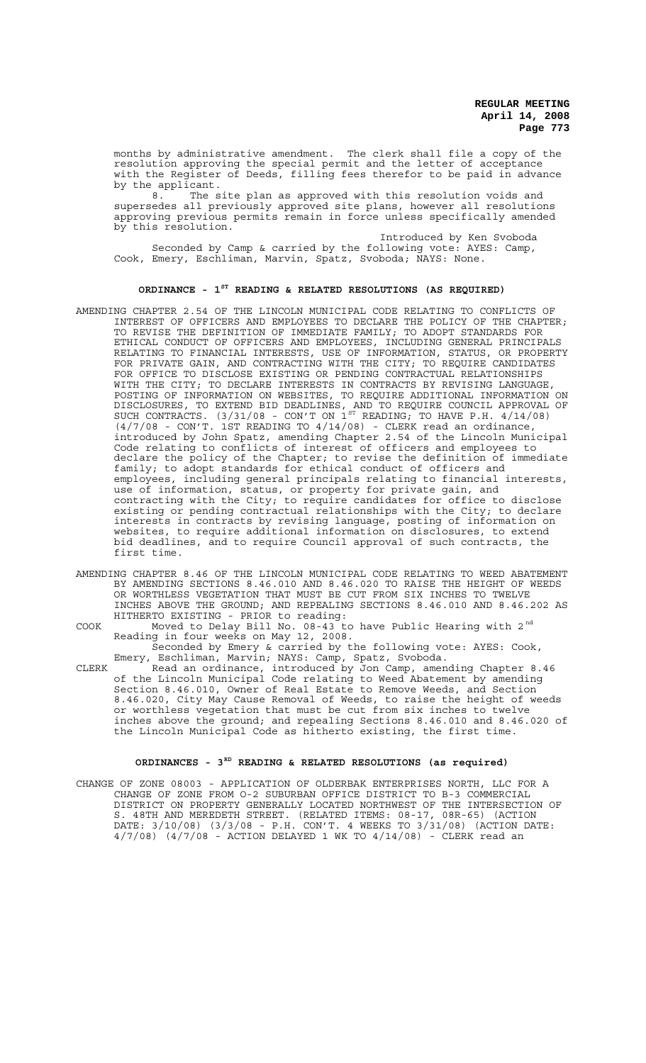months by administrative amendment. The clerk shall file a copy of the resolution approving the special permit and the letter of acceptance with the Register of Deeds, filling fees therefor to be paid in advance by the applicant.<br> $B = \frac{8}{100}$  The s

The site plan as approved with this resolution voids and supersedes all previously approved site plans, however all resolutions approving previous permits remain in force unless specifically amended by this resolution.

Introduced by Ken Svoboda Seconded by Camp & carried by the following vote: AYES: Camp, Cook, Emery, Eschliman, Marvin, Spatz, Svoboda; NAYS: None.

## **ORDINANCE - 1ST READING & RELATED RESOLUTIONS (AS REQUIRED)**

- AMENDING CHAPTER 2.54 OF THE LINCOLN MUNICIPAL CODE RELATING TO CONFLICTS OF INTEREST OF OFFICERS AND EMPLOYEES TO DECLARE THE POLICY OF THE CHAPTER; TO REVISE THE DEFINITION OF IMMEDIATE FAMILY; TO ADOPT STANDARDS FOR ETHICAL CONDUCT OF OFFICERS AND EMPLOYEES, INCLUDING GENERAL PRINCIPALS RELATING TO FINANCIAL INTERESTS, USE OF INFORMATION, STATUS, OR PROPERTY FOR PRIVATE GAIN, AND CONTRACTING WITH THE CITY; TO REQUIRE CANDIDATES FOR OFFICE TO DISCLOSE EXISTING OR PENDING CONTRACTUAL RELATIONSHIPS WITH THE CITY; TO DECLARE INTERESTS IN CONTRACTS BY REVISING LANGUAGE, POSTING OF INFORMATION ON WEBSITES, TO REQUIRE ADDITIONAL INFORMATION ON DISCLOSURES, TO EXTEND BID DEADLINES, AND TO REQUIRE COUNCIL APPROVAL OF SUCH CONTRACTS.  $(3/31/08$  - CON'T ON  $1^{ST}$  READING, TO HAVE P.H.  $4/14/08$ )  $(4/7/08$  - CON'T. 1ST READING TO  $4/14/08$ ) - CLERK read an ordinance, introduced by John Spatz, amending Chapter 2.54 of the Lincoln Municipal Code relating to conflicts of interest of officers and employees to declare the policy of the Chapter; to revise the definition of immediate family; to adopt standards for ethical conduct of officers and employees, including general principals relating to financial interests, use of information, status, or property for private gain, and contracting with the City; to require candidates for office to disclose existing or pending contractual relationships with the City; to declare interests in contracts by revising language, posting of information on websites, to require additional information on disclosures, to extend bid deadlines, and to require Council approval of such contracts, the first time.
- AMENDING CHAPTER 8.46 OF THE LINCOLN MUNICIPAL CODE RELATING TO WEED ABATEMENT BY AMENDING SECTIONS 8.46.010 AND 8.46.020 TO RAISE THE HEIGHT OF WEEDS OR WORTHLESS VEGETATION THAT MUST BE CUT FROM SIX INCHES TO TWELVE INCHES ABOVE THE GROUND; AND REPEALING SECTIONS 8.46.010 AND 8.46.202 AS HITHERTO EXISTING - PRIOR to reading:

COOK Moved to Delay Bill No.  $08-43$  to have Public Hearing with 2<sup>nd</sup> Reading in four weeks on May 12, 2008.

Seconded by Emery & carried by the following vote: AYES: Cook, Emery, Eschliman, Marvin; NAYS: Camp, Spatz, Svoboda.

CLERK Read an ordinance, introduced by Jon Camp, amending Chapter 8.46 of the Lincoln Municipal Code relating to Weed Abatement by amending Section 8.46.010, Owner of Real Estate to Remove Weeds, and Section 8.46.020, City May Cause Removal of Weeds, to raise the height of weeds or worthless vegetation that must be cut from six inches to twelve inches above the ground; and repealing Sections 8.46.010 and 8.46.020 of the Lincoln Municipal Code as hitherto existing, the first time.

## **ORDINANCES - 3RD READING & RELATED RESOLUTIONS (as required)**

CHANGE OF ZONE 08003 - APPLICATION OF OLDERBAK ENTERPRISES NORTH, LLC FOR A CHANGE OF ZONE FROM O-2 SUBURBAN OFFICE DISTRICT TO B-3 COMMERCIAL DISTRICT ON PROPERTY GENERALLY LOCATED NORTHWEST OF THE INTERSECTION OF S. 48TH AND MEREDETH STREET. (RELATED ITEMS: 08-17, 08R-65) (ACTION DATE: 3/10/08) (3/3/08 - P.H. CON'T. 4 WEEKS TO 3/31/08) (ACTION DATE: 4/7/08) (4/7/08 - ACTION DELAYED 1 WK TO 4/14/08) - CLERK read an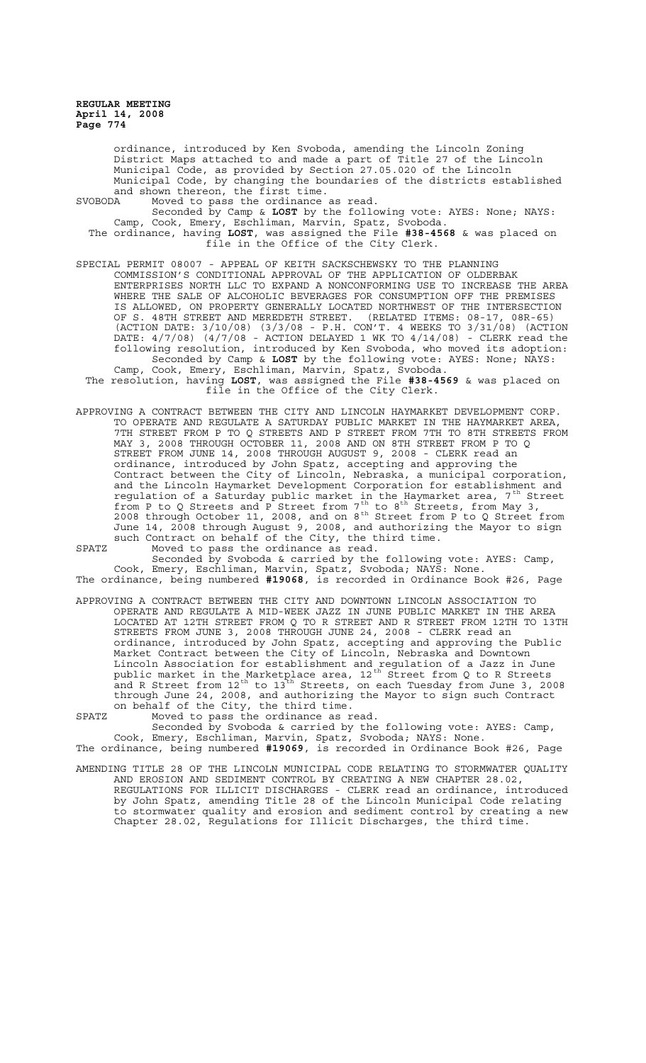ordinance, introduced by Ken Svoboda, amending the Lincoln Zoning District Maps attached to and made a part of Title 27 of the Lincoln Municipal Code, as provided by Section 27.05.020 of the Lincoln Municipal Code, by changing the boundaries of the districts established and shown thereon, the first time.

SVOBODA Moved to pass the ordinance as read. Seconded by Camp & **LOST** by the following vote: AYES: None; NAYS: Camp, Cook, Emery, Eschliman, Marvin, Spatz, Svoboda. The ordinance, having **LOST**, was assigned the File **#38-4568** & was placed on file in the Office of the City Clerk.

- SPECIAL PERMIT 08007 APPEAL OF KEITH SACKSCHEWSKY TO THE PLANNING COMMISSION'S CONDITIONAL APPROVAL OF THE APPLICATION OF OLDERBAK ENTERPRISES NORTH LLC TO EXPAND A NONCONFORMING USE TO INCREASE THE AREA WHERE THE SALE OF ALCOHOLIC BEVERAGES FOR CONSUMPTION OFF THE PREMISES IS ALLOWED, ON PROPERTY GENERALLY LOCATED NORTHWEST OF THE INTERSECTION OF S. 48TH STREET AND MEREDETH STREET. (RELATED ITEMS: 08-17, 08R-65) (ACTION DATE: 3/10/08) (3/3/08 - P.H. CON'T. 4 WEEKS TO 3/31/08) (ACTION DATE: 4/7/08) (4/7/08 - ACTION DELAYED 1 WK TO 4/14/08) - CLERK read the following resolution, introduced by Ken Svoboda, who moved its adoption: Seconded by Camp & **LOST** by the following vote: AYES: None; NAYS: Camp, Cook, Emery, Eschliman, Marvin, Spatz, Svoboda.
	- The resolution, having **LOST**, was assigned the File **#38-4569** & was placed on file in the Office of the City Clerk.
- APPROVING A CONTRACT BETWEEN THE CITY AND LINCOLN HAYMARKET DEVELOPMENT CORP. TO OPERATE AND REGULATE A SATURDAY PUBLIC MARKET IN THE HAYMARKET AREA, 7TH STREET FROM P TO Q STREETS AND P STREET FROM 7TH TO 8TH STREETS FROM MAY 3, 2008 THROUGH OCTOBER 11, 2008 AND ON 8TH STREET FROM P TO Q STREET FROM JUNE 14, 2008 THROUGH AUGUST 9, 2008 - CLERK read an ordinance, introduced by John Spatz, accepting and approving the Contract between the City of Lincoln, Nebraska, a municipal corporation, and the Lincoln Haymarket Development Corporation for establishment and regulation of a Saturday public market in the Haymarket area, 7<sup>th</sup> Street from P to Q Streets and P Street from  $7^{\text{th}}$  to  $8^{\text{th}}$  Streets, from May 3, 2008 through October 11, 2008, and on  $8^{th}$  Street from P to Q Street from June 14, 2008 through August 9, 2008, and authorizing the Mayor to sign such Contract on behalf of the City, the third time. SPATZ Moved to pass the ordinance as read.

Seconded by Svoboda & carried by the following vote: AYES: Camp, Cook, Emery, Eschliman, Marvin, Spatz, Svoboda; NAYS: None. The ordinance, being numbered **#19068**, is recorded in Ordinance Book #26, Page

APPROVING A CONTRACT BETWEEN THE CITY AND DOWNTOWN LINCOLN ASSOCIATION TO OPERATE AND REGULATE A MID-WEEK JAZZ IN JUNE PUBLIC MARKET IN THE AREA LOCATED AT 12TH STREET FROM Q TO R STREET AND R STREET FROM 12TH TO 13TH STREETS FROM JUNE 3, 2008 THROUGH JUNE 24, 2008 - CLERK read an ordinance, introduced by John Spatz, accepting and approving the Public Market Contract between the City of Lincoln, Nebraska and Downtown Lincoln Association for establishment and regulation of a Jazz in June public market in the Marketplace area, 12<sup>th</sup> Street from Q to R Streets and R Street from  $12^{\text{th}}$  to  $13^{\text{th}}$  Streets, on each Tuesday from June 3, 2008 through June 24, 2008, and authorizing the Mayor to sign such Contract on behalf of the City, the third time.

SPATZ Moved to pass the ordinance as read. Seconded by Svoboda & carried by the following vote: AYES: Camp, Cook, Emery, Eschliman, Marvin, Spatz, Svoboda; NAYS: None.

The ordinance, being numbered **#19069**, is recorded in Ordinance Book #26, Page AMENDING TITLE 28 OF THE LINCOLN MUNICIPAL CODE RELATING TO STORMWATER QUALITY AND EROSION AND SEDIMENT CONTROL BY CREATING A NEW CHAPTER 28.02,

REGULATIONS FOR ILLICIT DISCHARGES - CLERK read an ordinance, introduced by John Spatz, amending Title 28 of the Lincoln Municipal Code relating to stormwater quality and erosion and sediment control by creating a new Chapter 28.02, Regulations for Illicit Discharges, the third time.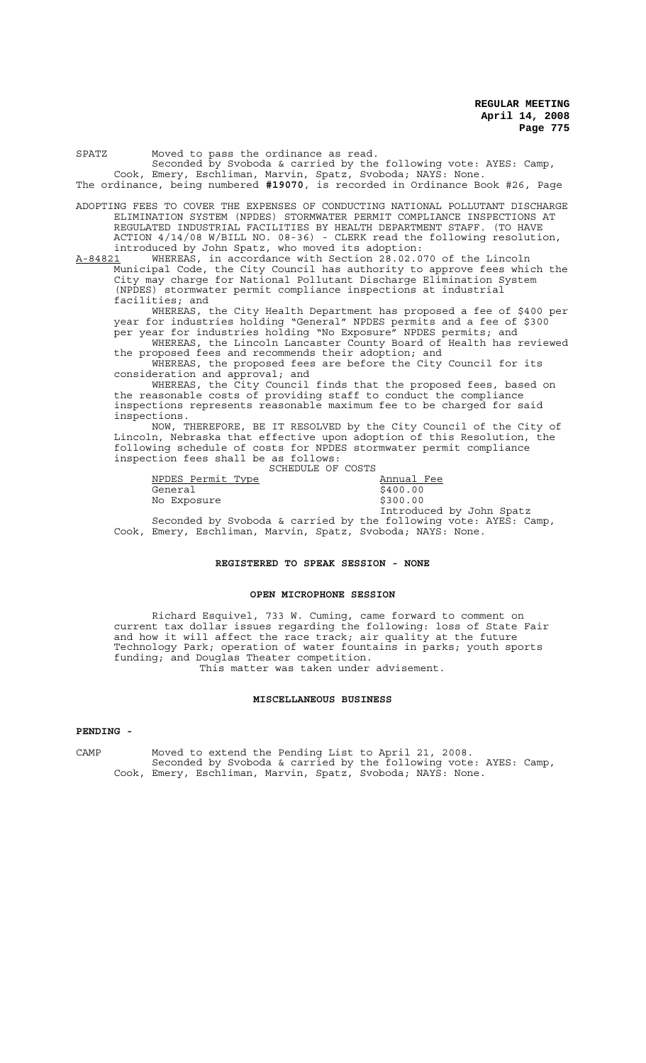| Seconded by Svoboda & carried by the following vote: AYES: Camp,                                        |
|---------------------------------------------------------------------------------------------------------|
| Cook, Emery, Eschliman, Marvin, Spatz, Svoboda; NAYS: None.                                             |
| The ordinance, being numbered #19070, is recorded in Ordinance Book #26, Page                           |
|                                                                                                         |
| ADOPTING FEES TO COVER THE EXPENSES OF CONDUCTING NATIONAL POLLUTANT DISCHARGE                          |
| ELIMINATION SYSTEM (NPDES) STORMWATER PERMIT COMPLIANCE INSPECTIONS AT                                  |
| REGULATED INDUSTRIAL FACILITIES BY HEALTH DEPARTMENT STAFF. (TO HAVE                                    |
| ACTION 4/14/08 W/BILL NO. 08-36) - CLERK read the following resolution,                                 |
| introduced by John Spatz, who moved its adoption:                                                       |
| WHEREAS, in accordance with Section 28.02.070 of the Lincoln<br>A-84821                                 |
| Municipal Code, the City Council has authority to approve fees which the                                |
| City may charge for National Pollutant Discharge Elimination System                                     |
| (NPDES) stormwater permit compliance inspections at industrial                                          |
| facilities; and                                                                                         |
| WHEREAS, the City Health Department has proposed a fee of \$400 per                                     |
| year for industries holding "General" NPDES permits and a fee of \$300                                  |
| per year for industries holding "No Exposure" NPDES permits; and                                        |
| WHEREAS, the Lincoln Lancaster County Board of Health has reviewed                                      |
| the proposed fees and recommends their adoption; and                                                    |
| WHEREAS, the proposed fees are before the City Council for its                                          |
| consideration and approval; and                                                                         |
| WHEREAS, the City Council finds that the proposed fees, based on                                        |
| 그는 그 그는 그 사람들을 지나 그 사람들을 지나 않고 있다. 그 사람들은 그 사람들은 그 사람들을 지나 않고 있다. 그 사람들은 그 사람들은 그 사람들은 그 사람들을 지나 않고 있다. |

the reasonable costs of providing staff to conduct the compliance inspections represents reasonable maximum fee to be charged for said inspections.

NOW, THEREFORE, BE IT RESOLVED by the City Council of the City of Lincoln, Nebraska that effective upon adoption of this Resolution, the following schedule of costs for NPDES stormwater permit compliance inspection fees shall be as follows: SCHEDULE OF COSTS

|                   | SCHADULA OF COSIS |            |  |
|-------------------|-------------------|------------|--|
| NPDES Permit Type |                   | Annual Fee |  |
| General           |                   | \$400.00   |  |
| No Exposure       |                   | \$300.00   |  |
|                   |                   |            |  |

Introduced by John Spatz Seconded by Svoboda & carried by the following vote: AYES: Camp, Cook, Emery, Eschliman, Marvin, Spatz, Svoboda; NAYS: None.

### **REGISTERED TO SPEAK SESSION - NONE**

### **OPEN MICROPHONE SESSION**

Richard Esquivel, 733 W. Cuming, came forward to comment on current tax dollar issues regarding the following: loss of State Fair and how it will affect the race track; air quality at the future Technology Park; operation of water fountains in parks; youth sports funding; and Douglas Theater competition. This matter was taken under advisement.

## **MISCELLANEOUS BUSINESS**

### **PENDING -**

CAMP Moved to extend the Pending List to April 21, 2008. Seconded by Svoboda & carried by the following vote: AYES: Camp, Cook, Emery, Eschliman, Marvin, Spatz, Svoboda; NAYS: None.

### SPATZ Moved to pass the ordinance as read.